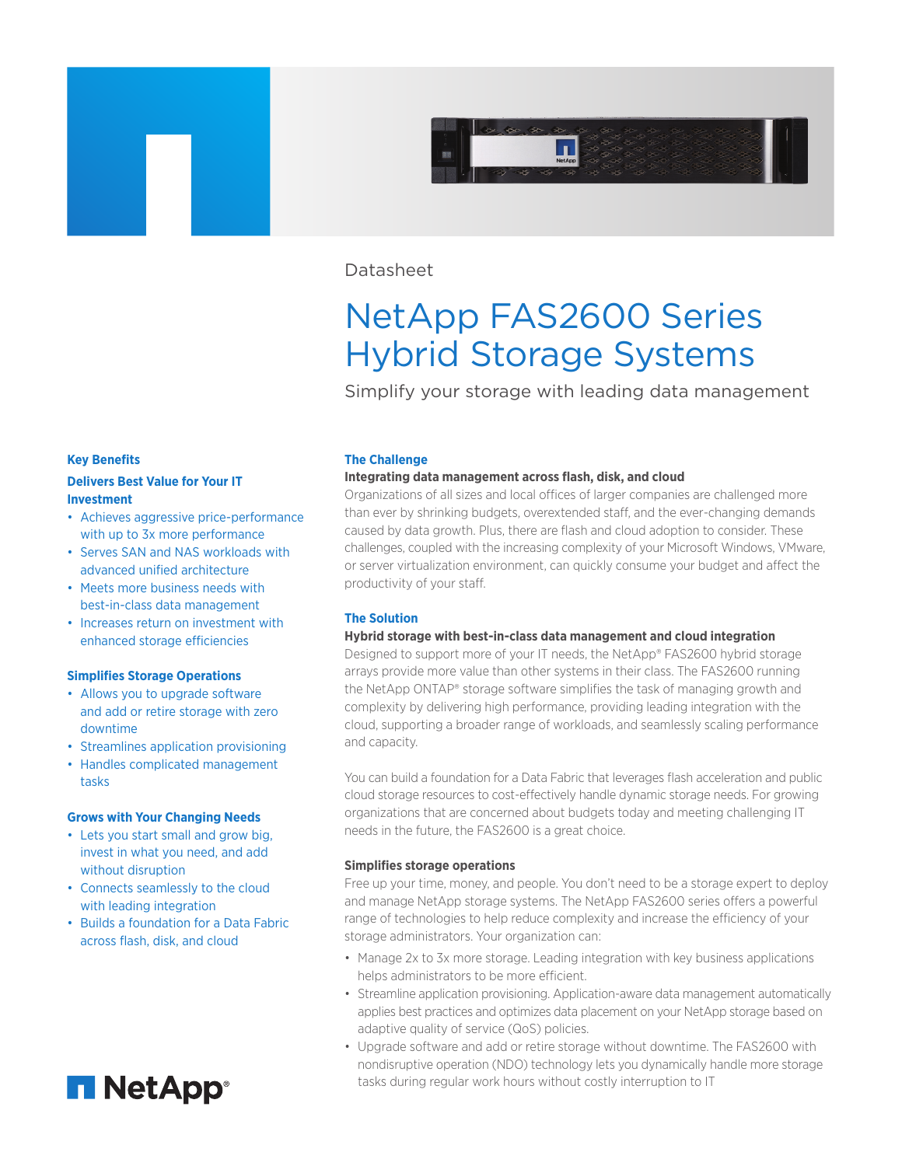

# Datasheet

# NetApp FAS2600 Series Hybrid Storage Systems

Simplify your storage with leading data management

### **Key Benefits**

## **Delivers Best Value for Your IT Investment**

- Achieves aggressive price-performance with up to 3x more performance
- Serves SAN and NAS workloads with advanced unified architecture
- Meets more business needs with best-in-class data management
- Increases return on investment with enhanced storage efficiencies

## **Simplifies Storage Operations**

- Allows you to upgrade software and add or retire storage with zero downtime
- Streamlines application provisioning
- Handles complicated management tasks

## **Grows with Your Changing Needs**

- Lets you start small and grow big, invest in what you need, and add without disruption
- Connects seamlessly to the cloud with leading integration
- Builds a foundation for a Data Fabric across flash, disk, and cloud



#### **The Challenge**

#### **Integrating data management across flash, disk, and cloud**

Organizations of all sizes and local offices of larger companies are challenged more than ever by shrinking budgets, overextended staff, and the ever-changing demands caused by data growth. Plus, there are flash and cloud adoption to consider. These challenges, coupled with the increasing complexity of your Microsoft Windows, VMware, or server virtualization environment, can quickly consume your budget and affect the productivity of your staff.

#### **The Solution**

## **Hybrid storage with best-in-class data management and cloud integration**

Designed to support more of your IT needs, the NetApp® FAS2600 hybrid storage arrays provide more value than other systems in their class. The FAS2600 running the NetApp ONTAP® storage software simplifies the task of managing growth and complexity by delivering high performance, providing leading integration with the cloud, supporting a broader range of workloads, and seamlessly scaling performance and capacity.

You can build a foundation for a Data Fabric that leverages flash acceleration and public cloud storage resources to cost-effectively handle dynamic storage needs. For growing organizations that are concerned about budgets today and meeting challenging IT needs in the future, the FAS2600 is a great choice.

## **Simplifies storage operations**

Free up your time, money, and people. You don't need to be a storage expert to deploy and manage NetApp storage systems. The NetApp FAS2600 series offers a powerful range of technologies to help reduce complexity and increase the efficiency of your storage administrators. Your organization can:

- Manage 2x to 3x more storage. Leading integration with key business applications helps administrators to be more efficient.
- Streamline application provisioning. Application-aware data management automatically applies best practices and optimizes data placement on your NetApp storage based on adaptive quality of service (QoS) policies.
- Upgrade software and add or retire storage without downtime. The FAS2600 with nondisruptive operation (NDO) technology lets you dynamically handle more storage tasks during regular work hours without costly interruption to IT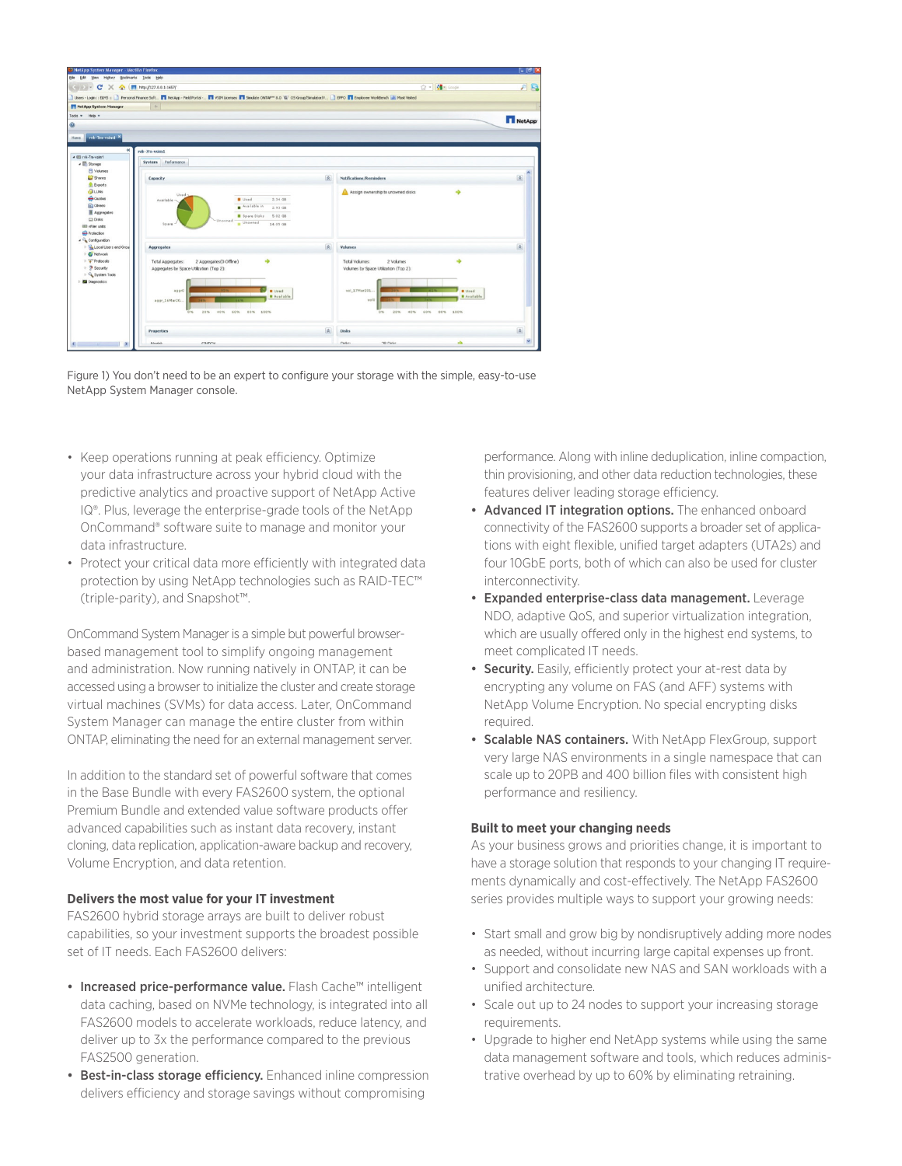

Figure 1) You don't need to be an expert to configure your storage with the simple, easy-to-use NetApp System Manager console.

- Keep operations running at peak efficiency. Optimize your data infrastructure across your hybrid cloud with the predictive analytics and proactive support of NetApp Active IQ®. Plus, leverage the enterprise-grade tools of the NetApp OnCommand® software suite to manage and monitor your data infrastructure.
- Protect your critical data more efficiently with integrated data protection by using NetApp technologies such as RAID-TEC™ (triple-parity), and Snapshot™.

OnCommand System Manager is a simple but powerful browserbased management tool to simplify ongoing management and administration. Now running natively in ONTAP, it can be accessed using a browser to initialize the cluster and create storage virtual machines (SVMs) for data access. Later, OnCommand System Manager can manage the entire cluster from within ONTAP, eliminating the need for an external management server.

In addition to the standard set of powerful software that comes in the Base Bundle with every FAS2600 system, the optional Premium Bundle and extended value software products offer advanced capabilities such as instant data recovery, instant cloning, data replication, application-aware backup and recovery, Volume Encryption, and data retention.

## **Delivers the most value for your IT investment**

FAS2600 hybrid storage arrays are built to deliver robust capabilities, so your investment supports the broadest possible set of IT needs. Each FAS2600 delivers:

- Increased price-performance value. Flash Cache™ intelligent data caching, based on NVMe technology, is integrated into all FAS2600 models to accelerate workloads, reduce latency, and deliver up to 3x the performance compared to the previous FAS2500 generation.
- Best-in-class storage efficiency. Enhanced inline compression delivers efficiency and storage savings without compromising

performance. Along with inline deduplication, inline compaction, thin provisioning, and other data reduction technologies, these features deliver leading storage efficiency.

- Advanced IT integration options. The enhanced onboard connectivity of the FAS2600 supports a broader set of applications with eight flexible, unified target adapters (UTA2s) and four 10GbE ports, both of which can also be used for cluster interconnectivity.
- Expanded enterprise-class data management. Leverage NDO, adaptive QoS, and superior virtualization integration, which are usually offered only in the highest end systems, to meet complicated IT needs.
- Security. Easily, efficiently protect your at-rest data by encrypting any volume on FAS (and AFF) systems with NetApp Volume Encryption. No special encrypting disks required.
- Scalable NAS containers. With NetApp FlexGroup, support very large NAS environments in a single namespace that can scale up to 20PB and 400 billion files with consistent high performance and resiliency.

## **Built to meet your changing needs**

As your business grows and priorities change, it is important to have a storage solution that responds to your changing IT requirements dynamically and cost-effectively. The NetApp FAS2600 series provides multiple ways to support your growing needs:

- Start small and grow big by nondisruptively adding more nodes as needed, without incurring large capital expenses up front.
- Support and consolidate new NAS and SAN workloads with a unified architecture.
- Scale out up to 24 nodes to support your increasing storage requirements.
- Upgrade to higher end NetApp systems while using the same data management software and tools, which reduces administrative overhead by up to 60% by eliminating retraining.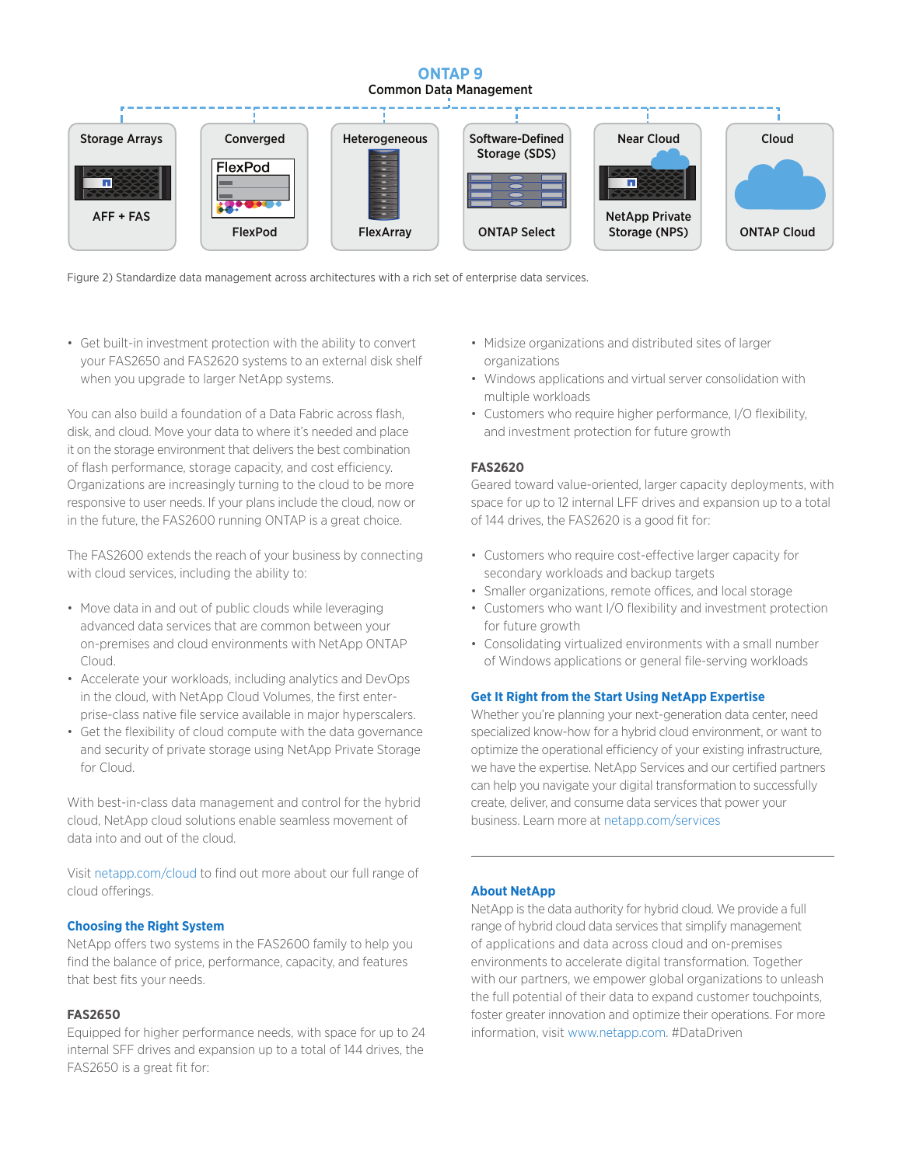## **ONTAP 9** Common Data Management



Figure 2) Standardize data management across architectures with a rich set of enterprise data services.

• Get built-in investment protection with the ability to convert your FAS2650 and FAS2620 systems to an external disk shelf when you upgrade to larger NetApp systems.

You can also build a foundation of a Data Fabric across flash, disk, and cloud. Move your data to where it's needed and place it on the storage environment that delivers the best combination of flash performance, storage capacity, and cost efficiency. Organizations are increasingly turning to the cloud to be more responsive to user needs. If your plans include the cloud, now or in the future, the FAS2600 running ONTAP is a great choice.

The FAS2600 extends the reach of your business by connecting with cloud services, including the ability to:

- Move data in and out of public clouds while leveraging advanced data services that are common between your on-premises and cloud environments with NetApp ONTAP Cloud.
- Accelerate your workloads, including analytics and DevOps in the cloud, with NetApp Cloud Volumes, the first enterprise-class native file service available in major hyperscalers.
- Get the flexibility of cloud compute with the data governance and security of private storage using NetApp Private Storage for Cloud.

With best-in-class data management and control for the hybrid cloud, NetApp cloud solutions enable seamless movement of data into and out of the cloud.

Visit [netapp.com/cloud t](http://netapp.com/cloud )o find out more about our full range of cloud offerings.

## **Choosing the Right System**

NetApp offers two systems in the FAS2600 family to help you find the balance of price, performance, capacity, and features that best fits your needs.

## **FAS2650**

Equipped for higher performance needs, with space for up to 24 internal SFF drives and expansion up to a total of 144 drives, the FAS2650 is a great fit for:

- Midsize organizations and distributed sites of larger organizations
- Windows applications and virtual server consolidation with multiple workloads
- Customers who require higher performance, I/O flexibility, and investment protection for future growth

## **FAS2620**

Geared toward value-oriented, larger capacity deployments, with space for up to 12 internal LFF drives and expansion up to a total of 144 drives, the FAS2620 is a good fit for:

- Customers who require cost-effective larger capacity for secondary workloads and backup targets
- Smaller organizations, remote offices, and local storage
- Customers who want I/O flexibility and investment protection for future growth
- Consolidating virtualized environments with a small number of Windows applications or general file-serving workloads

## **Get It Right from the Start Using NetApp Expertise**

Whether you're planning your next-generation data center, need specialized know-how for a hybrid cloud environment, or want to optimize the operational efficiency of your existing infrastructure, we have the expertise. NetApp Services and our certified partners can help you navigate your digital transformation to successfully create, deliver, and consume data services that power your business. Learn more at [netapp.com/services](http://netapp.com/services)

## **About NetApp**

NetApp is the data authority for hybrid cloud. We provide a full range of hybrid cloud data services that simplify management of applications and data across cloud and on-premises environments to accelerate digital transformation. Together with our partners, we empower global organizations to unleash the full potential of their data to expand customer touchpoints, foster greater innovation and optimize their operations. For more information, visit [www.netapp.com](http://www.netapp.com). #DataDriven